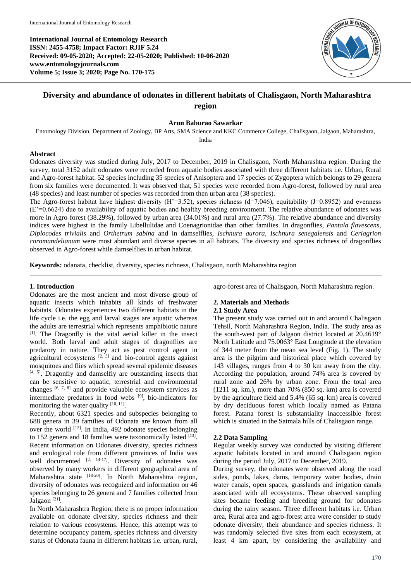**International Journal of Entomology Research ISSN: 2455-4758; Impact Factor: RJIF 5.24 Received: 09-05-2020; Accepted: 22-05-2020; Published: 10-06-2020 www.entomologyjournals.com Volume 5; Issue 3; 2020; Page No. 170-175**



# **Diversity and abundance of odonates in different habitats of Chalisgaon, North Maharashtra region**

### **Arun Baburao Sawarkar**

Entomology Division, Department of Zoology, BP Arts, SMA Science and KKC Commerce College, Chalisgaon, Jalgaon, Maharashtra,

India

## **Abstract**

Odonates diversity was studied during July, 2017 to December, 2019 in Chalisgaon, North Maharashtra region. During the survey, total 3152 adult odonates were recorded from aquatic bodies associated with three different habitats i.e. Urban, Rural and Agro-forest habitat. 52 species including 35 species of Anisoptera and 17 species of Zygoptera which belongs to 29 genera from six families were documented. It was observed that, 51 species were recorded from Agro-forest, followed by rural area (48 species) and least number of species was recorded from then urban area (38 species).

The Agro-forest habitat have highest diversity  $(H^2=3.52)$ , species richness  $(d=7.046)$ , equitability  $(J=0.8952)$  and evenness (E'=0.6624) due to availability of aquatic bodies and healthy breeding environment. The relative abundance of odonates was more in Agro-forest (38.29%), followed by urban area (34.01%) and rural area (27.7%). The relative abundance and diversity indices were highest in the family Libellulidae and Coenagrionidae than other families. In dragonflies, *Pantala flavescens*, *Diplocodes trivialis* and *Orthetrum sabina* and in damselflies, *Ischnura aurora*, *Ischnura senegalensis* and *Ceriagrion coromandelianum* were most abundant and diverse species in all habitats. The diversity and species richness of dragonflies observed in Agro-forest while damselflies in urban habitat.

**Keywords:** odanata, checklist, diversity, species richness, Chalisgaon, north Maharashtra region

## **1. Introduction**

Odonates are the most ancient and most diverse group of aquatic insects which inhabits all kinds of freshwater habitats. Odonates experiences two different habitats in the life cycle i.e. the egg and larval stages are aquatic whereas the adults are terrestrial which represents amphibiotic nature [1]. The Dragonfly is the vital aerial killer in the insect world. Both larval and adult stages of dragonflies are predatory in nature. They act as pest control agent in agricultural ecosystems  $[2, 3]$  and bio-control agents against mosquitoes and flies which spread several epidemic diseases [4, 5]. Dragonfly and damselfly are outstanding insects that can be sensitive to aquatic, terrestrial and environmental changes  $[6, 7, 8]$  and provide valuable ecosystem services as intermediate predators in food webs [9], bio-indicators for monitoring the water quality  $[10, 11]$ .

Recently, about 6321 species and subspecies belonging to 688 genera in 39 families of Odonata are known from all over the world [12]. In India, 492 odonate species belonging to  $152$  genera and  $18$  families were taxonomically listed  $^{[13]}$ . Recent information on Odonates diversity, species richness and ecological role from different provinces of India was well documented  $[2, 14-17]$ . Diversity of odonates was observed by many workers in different geographical area of Maharashtra state <a>[18-20]</a>. In North Maharashtra region, diversity of odonates was recognized and information on 46 species belonging to 26 genera and 7 families collected from Jalgaon<sup>[21]</sup>.

In North Maharashtra Region, there is no proper information available on odonate diversity, species richness and their relation to various ecosystems. Hence, this attempt was to determine occupancy pattern, species richness and diversity status of Odonata fauna in different habitats i.e. urban, rural,

agro-forest area of Chalisgaon, North Maharashtra region.

## **2. Materials and Methods 2.1 Study Area**

The present study was carried out in and around Chalisgaon Tehsil, North Maharashtra Region, India. The study area as the south-west part of Jalgaon district located at 20.4619° North Latitude and 75.0063° East Longitude at the elevation of 344 meter from the mean sea level (Fig. 1). The study area is the pilgrim and historical place which covered by 143 villages, ranges from 4 to 30 km away from the city. According the population, around 74% area is covered by rural zone and 26% by urban zone. From the total area (1211 sq. km.), more than 70% (850 sq. km) area is covered by the agriculture field and 5.4% (65 sq. km) area is covered by dry deciduous forest which locally named as Patana forest. Patana forest is substantiality inaccessible forest which is situated in the Satmala hills of Chalisgaon range.

## **2.2 Data Sampling**

Regular weekly survey was conducted by visiting different aquatic habitats located in and around Chalisgaon region during the period July, 2017 to December, 2019.

During survey, the odonates were observed along the road sides, ponds, lakes, dams, temporary water bodies, drain water canals, open spaces, grasslands and irrigation canals associated with all ecosystems. These observed sampling sites became feeding and breeding ground for odonates during the rainy season. Three different habitats i.e. Urban area, Rural area and agro-forest area were consider to study odonate diversity, their abundance and species richness. It was randomly selected five sites from each ecosystem, at least 4 km apart, by considering the availability and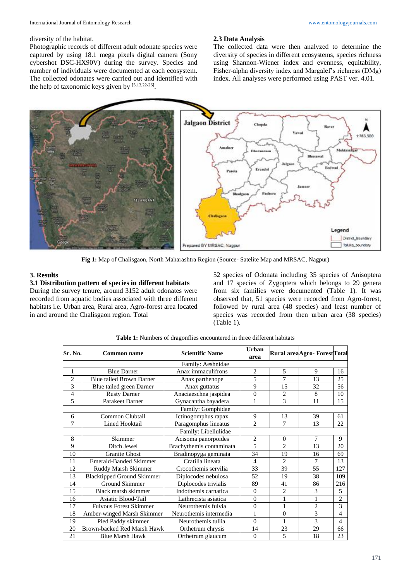#### diversity of the habitat.

Photographic records of different adult odonate species were captured by using 18.1 mega pixels digital camera (Sony cybershot DSC-HX90V) during the survey. Species and number of individuals were documented at each ecosystem. The collected odonates were carried out and identified with the help of taxonomic keys given by [5,13,22-26] .

#### **2.3 Data Analysis**

The collected data were then analyzed to determine the diversity of species in different ecosystems, species richness using Shannon-Wiener index and evenness, equitability, Fisher-alpha diversity index and Margalef's richness (DMg) index. All analyses were performed using PAST ver. 4.01.



**Fig 1:** Map of Chalisgaon, North Maharashtra Region (Source- Satelite Map and MRSAC, Nagpur)

## **3. Results**

## **3.1 Distribution pattern of species in different habitats**

During the survey tenure, around 3152 adult odonates were recorded from aquatic bodies associated with three different habitats i.e. Urban area, Rural area, Agro-forest area located in and around the Chalisgaon region. Total

52 species of Odonata including 35 species of Anisoptera and 17 species of Zygoptera which belongs to 29 genera from six families were documented (Table 1). It was observed that, 51 species were recorded from Agro-forest, followed by rural area (48 species) and least number of species was recorded from then urban area (38 species) (Table 1).

| Sr. No.        | <b>Common name</b>                | <b>Scientific Name</b>   | Urban<br>area  |                | Rural areaAgro- ForestTotal |                |
|----------------|-----------------------------------|--------------------------|----------------|----------------|-----------------------------|----------------|
|                |                                   | Family: Aeshnidae        |                |                |                             |                |
| 1              | <b>Blue Darner</b>                | Anax immaculifrons       | 2              | 5              | 9                           | 16             |
| $\overline{2}$ | <b>Blue tailed Brown Darner</b>   | Anax parthenope          | 5              | 7              | 13                          | 25             |
| 3              | Blue tailed green Darner          | Anax guttatus            | 9              | 15             | 32                          | 56             |
| 4              | <b>Rusty Darner</b>               | Anaciaeschna jaspidea    | $\theta$       | $\overline{c}$ | 8                           | 10             |
| 5              | Parakeet Darner                   | Gynacantha bayadera      | 1              | 3              | 11                          | 15             |
|                |                                   | Family: Gomphidae        |                |                |                             |                |
| 6              | Common Clubtail                   | Ictinogomphus rapax      | 9              | 13             | 39                          | 61             |
| 7              | <b>Lined Hooktail</b>             | Paragomphus lineatus     | $\overline{c}$ | 7              | 13                          | 22             |
|                |                                   | Family: Libellulidae     |                |                |                             |                |
| 8              | Skimmer                           | Acisoma panorpoides      | $\overline{2}$ | $\theta$       | $\overline{7}$              | 9              |
| 9              | Ditch Jewel                       | Brachythemis contaminata | 5              | $\mathfrak{D}$ | 13                          | 20             |
| 10             | <b>Granite Ghost</b>              | Bradinopyga geminata     | 34             | 19             | 16                          | 69             |
| 11             | <b>Emerald-Banded Skimmer</b>     | Cratilla lineata         | $\overline{4}$ | $\overline{c}$ | $\overline{7}$              | 13             |
| 12             | Ruddy Marsh Skimmer               | Crocothemis servilia     | 33             | 39             | 55                          | 127            |
| 13             | <b>Blacktipped Ground Skimmer</b> | Diplocodes nebulosa      | 52             | 19             | 38                          | 109            |
| 14             | Ground Skimmer                    | Diplocodes trivialis     | 89             | 41             | 86                          | 216            |
| 15             | Black marsh skimmer               | Indothemis carnatica     | $\theta$       | $\mathbf{2}$   | 3                           | 5              |
| 16             | Asiatic Blood-Tail                | Lathrecista asiatica     | $\theta$       | $\mathbf{1}$   | $\mathbf{1}$                | $\overline{2}$ |
| 17             | <b>Fulvous Forest Skimmer</b>     | Neurothemis fulvia       | $\overline{0}$ | $\mathbf{1}$   | $\overline{c}$              | 3              |
| 18             | Amber-winged Marsh Skimmer        | Neurothemis intermedia   | 1              | $\mathbf{0}$   | 3                           | $\overline{4}$ |
| 19             | Pied Paddy skimmer                | Neurothemis tullia       | $\theta$       | 1              | 3                           | 4              |
| 20             | Brown-backed Red Marsh Hawk       | Orthetrum chrysis        | 14             | 23             | 29                          | 66             |
| 21             | <b>Blue Marsh Hawk</b>            | Orthetrum glaucum        | $\theta$       | 5              | 18                          | 23             |

**Table 1:** Numbers of dragonflies encountered in three different habitats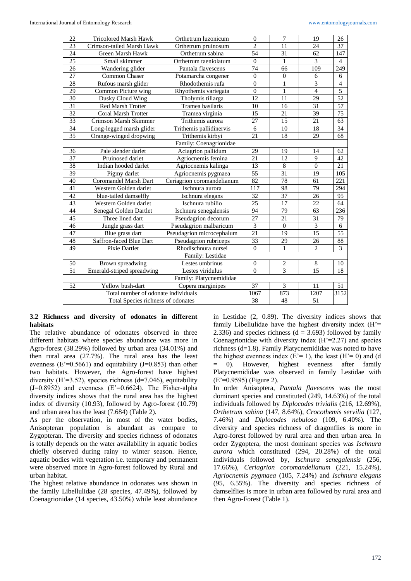| 22                                 | <b>Tricolored Marsh Hawk</b>        | Orthetrum luzonicum        | $\mathbf{0}$     | $\overline{7}$   | 19             | 26              |
|------------------------------------|-------------------------------------|----------------------------|------------------|------------------|----------------|-----------------|
| 23                                 | Crimson-tailed Marsh Hawk           | Orthetrum pruinosum        | $\overline{2}$   | 11               | 24             | 37              |
| 24                                 | Green Marsh Hawk                    | Orthetrum sabina           | 54               | 31               | 62             | 147             |
| 25                                 | Small skimmer                       | Orthetrum taeniolatum      | $\Omega$         | $\mathbf{1}$     | 3              | $\overline{4}$  |
| 26                                 | Wandering glider                    | Pantala flavescens         | 74               | 66               | 109            | 249             |
| 27                                 | <b>Common Chaser</b>                | Potamarcha congener        | $\mathbf{0}$     | $\boldsymbol{0}$ | 6              | 6               |
| 28                                 | Rufous marsh glider                 | Rhodothemis rufa           | $\overline{0}$   | $\mathbf{1}$     | $\overline{3}$ | $\overline{4}$  |
| 29                                 | Common Picture wing                 | Rhyothemis variegata       | $\overline{0}$   | $\mathbf{1}$     | $\overline{4}$ | 5               |
| 30                                 | Dusky Cloud Wing                    | Tholymis tillarga          | 12               | 11               | 29             | 52              |
| 31                                 | <b>Red Marsh Trotter</b>            | Tramea basilaris           | 10               | 16               | 31             | $\overline{57}$ |
| 32                                 | <b>Coral Marsh Trotter</b>          | Tramea virginia            | 15               | 21               | 39             | 75              |
| 33                                 | Crimson Marsh Skimmer               | Trithemis aurora           | 27               | 15               | 21             | $\overline{63}$ |
| $\overline{34}$                    | Long-legged marsh glider            | Trithemis pallidinervis    | $\sqrt{6}$       | 10               | 18             | $\overline{34}$ |
| 35                                 | Orange-winged dropwing              | Trithemis kirbyi           | 21               | 18               | 29             | 68              |
|                                    |                                     | Family: Coenagrionidae     |                  |                  |                |                 |
| 36                                 | Pale slender darlet                 | Aciagrion pallidum         | 29               | 19               | 14             | 62              |
| $\overline{37}$                    | Pruinosed darlet                    | Agriocnemis femina         | 21               | 12               | 9              | 42              |
| 38                                 | Indian hooded darlet                | Agriocnemis kalinga        | 13               | $\overline{8}$   | $\Omega$       | 21              |
| 39                                 | Pigmy darlet                        | Agriocnemis pygmaea        | 55               | 31               | 19             | 105             |
| 40                                 | Coromandel Marsh Dart               | Ceriagrion coromandelianum | 82               | 78               | 61             | 221             |
| 41                                 | Western Golden darlet               | Ischnura aurora            | 117              | 98               | 79             | 294             |
| 42                                 | blue-tailed damselfly               | Ischnura elegans           | $\overline{32}$  | 37               | 26             | 95              |
| 43                                 | Western Golden darlet               | Ischnura rubilio           | 25               | 17               | 22             | 64              |
| 44                                 | Senegal Golden Dartlet              | Ischnura senegalensis      | 94               | 79               | 63             | 236             |
| 45                                 | Three lined dart                    | Pseudagrion decorum        | 27               | 21               | 31             | 79              |
| 46                                 | Jungle grass dart                   | Pseudagrion malbaricum     | 3                | $\boldsymbol{0}$ | 3              | 6               |
| 47                                 | Blue grass dart                     | Pseudagrion microcephalum  | $\overline{21}$  | 19               | 15             | $\overline{55}$ |
| 48                                 | Saffron-faced Blue Dart             | Pseudagrion rubriceps      | 33               | $\overline{29}$  | 26             | $\overline{88}$ |
| 49                                 | Pixie Dartlet                       | Rhodischnura nursei        | $\boldsymbol{0}$ | $\mathbf{1}$     | $\overline{c}$ | $\overline{3}$  |
|                                    |                                     | Family: Lestidae           |                  |                  |                |                 |
| 50                                 | Brown spreadwing                    | Lestes umbrinus            | $\mathbf{0}$     | $\mathbf{2}$     | 8              | 10              |
| $\overline{51}$                    | Emerald-striped spreadwing          | Lestes viridulus           | $\theta$         | $\overline{3}$   | 15             | 18              |
|                                    |                                     | Family: Platycnemididae    |                  |                  |                |                 |
| 52                                 | Yellow bush-dart                    | Copera marginipes          | 37               | $\overline{3}$   | 11             | 51              |
|                                    | Total number of odonate individuals |                            | 1067             | 873              | 1207           | 3152            |
| Total Species richness of odonates |                                     | 38                         | $\overline{48}$  | 51               |                |                 |
|                                    |                                     |                            |                  |                  |                |                 |

## **3.2 Richness and diversity of odonates in different habitats**

The relative abundance of odonates observed in three different habitats where species abundance was more in Agro-forest (38.29%) followed by urban area (34.01%) and then rural area (27.7%). The rural area has the least evenness ( $E'=0.5661$ ) and equitability (J=0.853) than other two habitats. However, the Agro-forest have highest diversity (H'=3.52), species richness (d=7.046), equitability  $(J=0.8952)$  and evenness  $(E'=0.6624)$ . The Fisher-alpha diversity indices shows that the rural area has the highest index of diversity (10.93), followed by Agro-forest (10.79) and urban area has the least (7.684) (Table 2).

As per the observation, in most of the water bodies, Anisopteran population is abundant as compare to Zygopteran. The diversity and species richness of odonates is totally depends on the water availability in aquatic bodies chiefly observed during rainy to winter season. Hence, aquatic bodies with vegetation i.e. temporary and permanent were observed more in Agro-forest followed by Rural and urban habitat.

The highest relative abundance in odonates was shown in the family Libellulidae (28 species, 47.49%), followed by Coenagrionidae (14 species, 43.50%) while least abundance

in Lestidae (2, 0.89). The diversity indices shows that family Libellulidae have the highest diversity index  $(H^{\dagger})$ 2.336) and species richness  $(d = 3.693)$  followed by family Coenagrionidae with diversity index  $(H'=2.27)$  and species richness (d=1.8). Family Platycnemididae was noted to have the highest evenness index  $(E'= 1)$ , the least  $(H'= 0)$  and  $(d$ = 0). However, highest evenness after family Platycnemididae was observed in family Lestidae with (E'=0.9595) (Figure 2).

In order Anisoptera, *Pantala flavescens* was the most dominant species and constituted (249, 14.63%) of the total individuals followed by *Diplocodes trivialis* (216, 12.69%), *Orthetrum sabina* (147, 8.64%), *Crocothemis servilia* (127, 7.46%) and *Diplocodes nebulosa* (109, 6.40%). The diversity and species richness of dragonflies is more in Agro-forest followed by rural area and then urban area. In order Zygoptera, the most dominant species was *Ischnura aurora* which constituted (294, 20.28%) of the total individuals followed by, *Ischnura senegalensis* (256, 17.66%), *Ceriagrion coromandelianum* (221, 15.24%), *Agriocnemis pygmaea* (105, 7.24%) and *Ischnura elegans* (95, 6.55%). The diversity and species richness of damselflies is more in urban area followed by rural area and then Agro-Forest (Table 1).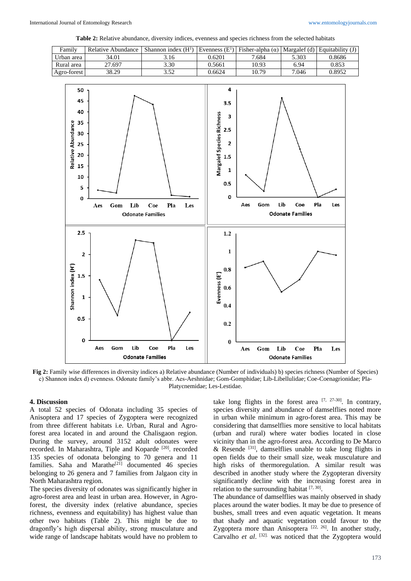**Table 2:** Relative abundance, diversity indices, evenness and species richness from the selected habitats



**Fig 2:** Family wise differences in diversity indices a) Relative abundance (Number of individuals) b) species richness (Number of Species) c) Shannon index d) evenness. Odonate family's abbr. Aes-Aeshnidae; Gom-Gomphidae; Lib-Libellulidae; Coe-Coenagrionidae; Pla-Platycnemidae; Les-Lestidae.

### **4. Discussion**

A total 52 species of Odonata including 35 species of Anisoptera and 17 species of Zygoptera were recognized from three different habitats i.e. Urban, Rural and Agroforest area located in and around the Chalisgaon region. During the survey, around 3152 adult odonates were recorded. In Maharashtra, Tiple and Koparde <sup>[20]</sup>. recorded 135 species of odonata belonging to 70 genera and 11 families. Saha and Marathe<sup>[21]</sup> documented 46 species belonging to 26 genera and 7 families from Jalgaon city in North Maharashtra region.

The species diversity of odonates was significantly higher in agro-forest area and least in urban area. However, in Agroforest, the diversity index (relative abundance, species richness, evenness and equitability) has highest value than other two habitats (Table 2). This might be due to dragonfly's high dispersal ability, strong musculature and wide range of landscape habitats would have no problem to

take long flights in the forest area  $[7, 27-30]$ . In contrary, species diversity and abundance of damselflies noted more in urban while minimum in agro-forest area. This may be considering that damselflies more sensitive to local habitats (urban and rural) where water bodies located in close vicinity than in the agro-forest area. According to De Marco & Resende  $^{[31]}$ , damselflies unable to take long flights in open fields due to their small size, weak musculature and high risks of thermoregulation. A similar result was described in another study where the Zygopteran diversity significantly decline with the increasing forest area in relation to the surrounding habitat  $[7, 30]$ .

The abundance of damselflies was mainly observed in shady places around the water bodies. It may be due to presence of bushes, small trees and even aquatic vegetation. It means that shady and aquatic vegetation could favour to the Zygoptera more than Anisoptera [22, 26]. In another study, Carvalho *et al.* <sup>[32]</sup> was noticed that the Zygoptera would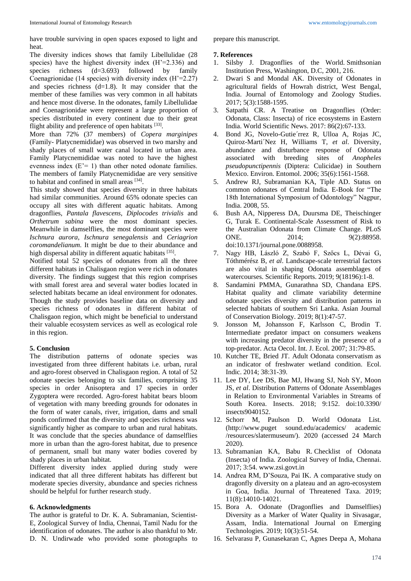have trouble surviving in open spaces exposed to light and heat.

The diversity indices shows that family Libellulidae (28 species) have the highest diversity index (H'=2.336) and species richness (d=3.693) followed by family Coenagrionidae (14 species) with diversity index (H'=2.27) and species richness (d=1.8). It may consider that the member of these families was very common in all habitats and hence most diverse. In the odonates, family Libellulidae and Coenagrionidae were represent a large proportion of species distributed in every continent due to their great flight ability and preference of open habitats [33].

More than 72% (37 members) of *Copera marginipes* (Family- Platycnemididae) was observed in two marshy and shady places of small water canal located in urban area. Family Platycnemididae was noted to have the highest evenness index  $(E'= 1)$  than other noted odonate families. The members of family Platycnemididae are very sensitive to habitat and confined in small areas [34].

This study showed that species diversity in three habitats had similar communities. Around 65% odonate species can occupy all sites with different aquatic habitats. Among dragonflies, *Pantala flavescens*, *Diplocodes trivialis* and *Orthetrum sabina* were the most dominant species. Meanwhile in damselflies, the most dominant species were *Ischnura aurora*, *Ischnura senegalensis* and *Ceriagrion coromandelianum*. It might be due to their abundance and high dispersal ability in different aquatic habitats [35].

Notified total 52 species of odonates from all the three different habitats in Chalisgaon region were rich in odonates diversity. The findings suggest that this region comprises with small forest area and several water bodies located in selected habitats became an ideal environment for odonates. Though the study provides baseline data on diversity and species richness of odonates in different habitat of Chalisgaon region, which might be beneficial to understand their valuable ecosystem services as well as ecological role in this region.

## **5. Conclusion**

The distribution patterns of odonate species was investigated from three different habitats i.e. urban, rural and agro-forest observed in Chalisgaon region. A total of 52 odonate species belonging to six families, comprising 35 species in order Anisoptera and 17 species in order Zygoptera were recorded. Agro-forest habitat bears bloom of vegetation with many breeding grounds for odonates in the form of water canals, river, irrigation, dams and small ponds confirmed that the diversity and species richness was significantly higher as compare to urban and rural habitats. It was conclude that the species abundance of damselflies more in urban than the agro-forest habitat, due to presence of permanent, small but many water bodies covered by shady places in urban habitat.

Different diversity index applied during study were indicated that all three different habitats has different but moderate species diversity, abundance and species richness should be helpful for further research study.

### **6. Acknowledgments**

The author is grateful to Dr. K. A. Subramanian, Scientist-E, Zoological Survey of India, Chennai, Tamil Nadu for the identification of odonates. The author is also thankful to Mr. D. N. Undirwade who provided some photographs to

prepare this manuscript.

## **7. References**

- 1. Silsby J. Dragonflies of the World. Smithsonian Institution Press, Washington, D.C, 2001, 216.
- 2. Dwari S and Mondal AK. Diversity of Odonates in agricultural fields of Howrah district, West Bengal, India. Journal of Entomology and Zoology Studies. 2017; 5(3):1588-1595.
- 3. Satpathi CR. A Treatise on Dragonflies (Order: Odonata, Class: Insecta) of rice ecosystems in Eastern India. World Scientific News. 2017: 86(2):67-133.
- 4. Bond JG, Novelo-Gutie´rrez R, Ulloa A, Rojas JC, Quiroz-Marti´Nez H, Williams T, *et al*. Diversity, abundance and disturbance response of Odonata associated with breeding sites of *Anopheles pseudopunctipennis* (Diptera: Culicidae) in Southern Mexico. Environ. Entomol. 2006; 35(6):1561-1568.
- 5. Andrew RJ, Subramanian KA, Tiple AD. Status on common odonates of Central India. E-Book for "The 18th International Symposium of Odontology" Nagpur, India. 2008, 55.
- 6. Bush AA, Nipperess DA, Duursma DE, Theischinger G, Turak E. Continental-Scale Assessment of Risk to the Australian Odonata from Climate Change. PLoS ONE. 2014; 9(2):88958. doi:10.1371/journal.pone.0088958.
- 7. Nagy HB, László Z, Szabó F, Szőcs L, Dévai G, Tóthmérész B, *et al*. Landscape-scale terrestrial factors are also vital in shaping Odonata assemblages of watercourses. Scientific Reports. 2019; 9(18196):1-8.
- 8. Sandamini PMMA, Gunarathna SD, Chandana EPS. Habitat quality and climate variability determine odonate species diversity and distribution patterns in selected habitats of southern Sri Lanka. Asian Journal of Conservation Biology. 2019; 8(1):47-57.
- 9. Jonsson M, Johansson F, Karlsson C, Brodin T. Intermediate predator impact on consumers weakens with increasing predator diversity in the presence of a top-predator. Acta Oecol. Int. J. Ecol. 2007; 31:79-85.
- 10. Kutcher TE, Bried JT. Adult Odonata conservatism as an indicator of freshwater wetland condition. Ecol. Indic. 2014; 38:31-39.
- 11. Lee DY, Lee DS, Bae MJ, Hwang SJ, Noh SY, Moon JS, *et al*. Distribution Patterns of Odonate Assemblages in Relation to Environmental Variables in Streams of South Korea. Insects. 2018; 9:152. doi:10.3390/ insects9040152.
- 12. Schorr M, Paulson D. World Odonata List. (http://www.puget sound.edu/academics/ academic /resources/slatermuseum/). 2020 (accessed 24 March 2020).
- 13. Subramanian KA, Babu R. Checklist of Odonata (Insecta) of India*.* Zoological Survey of India, Chennai. 2017; 3:54. www.zsi.govt.in
- 14. Andrea RM, D'Souza, Pai IK. A comparative study on dragonfly diversity on a plateau and an agro-ecosystem in Goa, India. Journal of Threatened Taxa. 2019; 11(8):14010-14021.
- 15. Bora A. Odonate (Dragonflies and Damselflies) Diversity as a Marker of Water Quality in Sivasagar, Assam, India. International Journal on Emerging Technologies*.* 2019; 10(3):51-54.
- 16. Selvarasu P, Gunasekaran C, Agnes Deepa A, Mohana